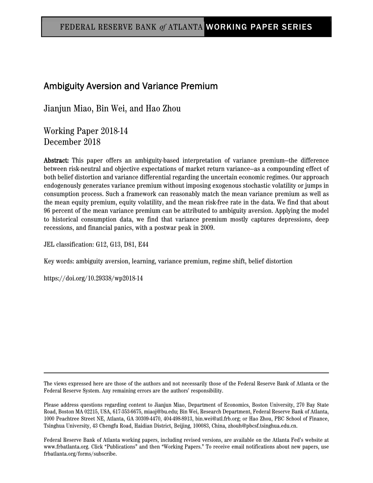# Ambiguity Aversion and Variance Premium

Jianjun Miao, Bin Wei, and Hao Zhou

Working Paper 2018-14 December 2018

Abstract: This paper offers an ambiguity-based interpretation of variance premium—the difference between risk-neutral and objective expectations of market return variance—as a compounding effect of both belief distortion and variance differential regarding the uncertain economic regimes. Our approach endogenously generates variance premium without imposing exogenous stochastic volatility or jumps in consumption process. Such a framework can reasonably match the mean variance premium as well as the mean equity premium, equity volatility, and the mean risk-free rate in the data. We find that about 96 percent of the mean variance premium can be attributed to ambiguity aversion. Applying the model to historical consumption data, we find that variance premium mostly captures depressions, deep recessions, and financial panics, with a postwar peak in 2009.

JEL classification: G12, G13, D81, E44

Key words: ambiguity aversion, learning, variance premium, regime shift, belief distortion

https://doi.org/10.29338/wp2018-14

The views expressed here are those of the authors and not necessarily those of the Federal Reserve Bank of Atlanta or the Federal Reserve System. Any remaining errors are the authors' responsibility.

Please address questions regarding content to Jianjun Miao, Department of Economics, Boston University, 270 Bay State Road, Boston MA 02215, USA, 617-353-6675, miaoj@bu.edu; Bin Wei, Research Department, Federal Reserve Bank of Atlanta, 1000 Peachtree Street NE, Atlanta, GA 30309-4470, 404-498-8913, bin.wei@atl.frb.org; or Hao Zhou, PBC School of Finance, Tsinghua University, 43 Chengfu Road, Haidian District, Beijing, 100083, China, zhouh@pbcsf.tsinghua.edu.cn.

Federal Reserve Bank of Atlanta working papers, including revised versions, are available on the Atlanta Fed's website at www.frbatlanta.org. Click "Publications" and then "Working Papers." To receive email notifications about new papers, use frbatlanta.org/forms/subscribe.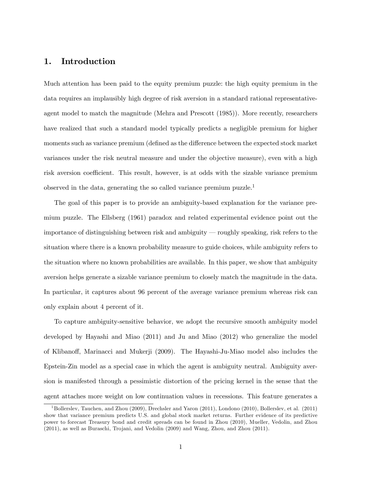# 1. Introduction

Much attention has been paid to the equity premium puzzle: the high equity premium in the data requires an implausibly high degree of risk aversion in a standard rational representativeagent model to match the magnitude (Mehra and Prescott (1985)). More recently, researchers have realized that such a standard model typically predicts a negligible premium for higher moments such as variance premium (defined as the difference between the expected stock market variances under the risk neutral measure and under the objective measure), even with a high risk aversion coefficient. This result, however, is at odds with the sizable variance premium observed in the data, generating the so called variance premium puzzle.<sup>1</sup>

The goal of this paper is to provide an ambiguity-based explanation for the variance premium puzzle. The Ellsberg (1961) paradox and related experimental evidence point out the importance of distinguishing between risk and ambiguity  $-$  roughly speaking, risk refers to the situation where there is a known probability measure to guide choices, while ambiguity refers to the situation where no known probabilities are available. In this paper, we show that ambiguity aversion helps generate a sizable variance premium to closely match the magnitude in the data. In particular, it captures about 96 percent of the average variance premium whereas risk can only explain about 4 percent of it.

To capture ambiguity-sensitive behavior, we adopt the recursive smooth ambiguity model developed by Hayashi and Miao (2011) and Ju and Miao (2012) who generalize the model of Klibanoff, Marinacci and Mukerji (2009). The Hayashi-Ju-Miao model also includes the Epstein-Zin model as a special case in which the agent is ambiguity neutral. Ambiguity aversion is manifested through a pessimistic distortion of the pricing kernel in the sense that the agent attaches more weight on low continuation values in recessions. This feature generates a

<sup>&</sup>lt;sup>1</sup>Bollerslev, Tauchen, and Zhou (2009), Drechsler and Yaron (2011), Londono (2010), Bollerslev, et al. (2011) show that variance premium predicts U.S. and global stock market returns. Further evidence of its predictive power to forecast Treasury bond and credit spreads can be found in Zhou (2010), Mueller, Vedolin, and Zhou (2011), as well as Buraschi, Trojani, and Vedolin (2009) and Wang, Zhou, and Zhou (2011).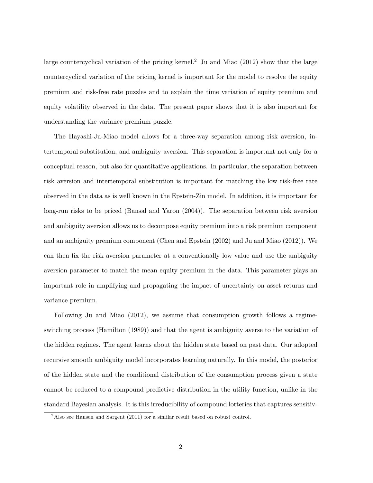large countercyclical variation of the pricing kernel.<sup>2</sup> Ju and Miao  $(2012)$  show that the large countercyclical variation of the pricing kernel is important for the model to resolve the equity premium and risk-free rate puzzles and to explain the time variation of equity premium and equity volatility observed in the data. The present paper shows that it is also important for understanding the variance premium puzzle.

The Hayashi-Ju-Miao model allows for a three-way separation among risk aversion, intertemporal substitution, and ambiguity aversion. This separation is important not only for a conceptual reason, but also for quantitative applications. In particular, the separation between risk aversion and intertemporal substitution is important for matching the low risk-free rate observed in the data as is well known in the Epstein-Zin model. In addition, it is important for long-run risks to be priced (Bansal and Yaron (2004)). The separation between risk aversion and ambiguity aversion allows us to decompose equity premium into a risk premium component and an ambiguity premium component (Chen and Epstein (2002) and Ju and Miao (2012)). We can then fix the risk aversion parameter at a conventionally low value and use the ambiguity aversion parameter to match the mean equity premium in the data. This parameter plays an important role in amplifying and propagating the impact of uncertainty on asset returns and variance premium.

Following Ju and Miao (2012), we assume that consumption growth follows a regimeswitching process (Hamilton (1989)) and that the agent is ambiguity averse to the variation of the hidden regimes. The agent learns about the hidden state based on past data. Our adopted recursive smooth ambiguity model incorporates learning naturally. In this model, the posterior of the hidden state and the conditional distribution of the consumption process given a state cannot be reduced to a compound predictive distribution in the utility function, unlike in the standard Bayesian analysis. It is this irreducibility of compound lotteries that captures sensitiv-

<sup>&</sup>lt;sup>2</sup>Also see Hansen and Sargent (2011) for a similar result based on robust control.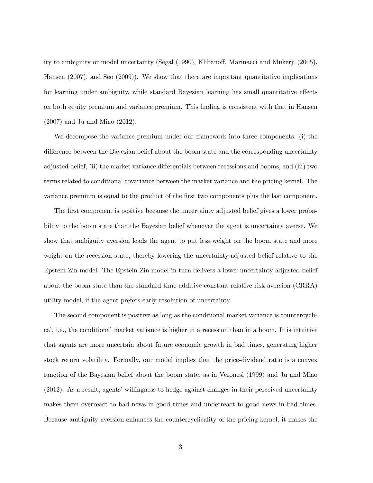ity to ambiguity or model uncertainty (Segal (1990), Klibanoff, Marinacci and Mukerji (2005), Hansen (2007), and Seo (2009)). We show that there are important quantitative implications for learning under ambiguity, while standard Bayesian learning has small quantitative effects on both equity premium and variance premium. This Önding is consistent with that in Hansen (2007) and Ju and Miao (2012).

We decompose the variance premium under our framework into three components: (i) the difference between the Bayesian belief about the boom state and the corresponding uncertainty adjusted belief, (ii) the market variance differentials between recessions and booms, and (iii) two terms related to conditional covariance between the market variance and the pricing kernel. The variance premium is equal to the product of the first two components plus the last component.

The first component is positive because the uncertainty adjusted belief gives a lower probability to the boom state than the Bayesian belief whenever the agent is uncertainty averse. We show that ambiguity aversion leads the agent to put less weight on the boom state and more weight on the recession state, thereby lowering the uncertainty-adjusted belief relative to the Epstein-Zin model. The Epstein-Zin model in turn delivers a lower uncertainty-adjusted belief about the boom state than the standard time-additive constant relative risk aversion (CRRA) utility model, if the agent prefers early resolution of uncertainty.

The second component is positive as long as the conditional market variance is countercyclical, i.e., the conditional market variance is higher in a recession than in a boom. It is intuitive that agents are more uncertain about future economic growth in bad times, generating higher stock return volatility. Formally, our model implies that the price-dividend ratio is a convex function of the Bayesian belief about the boom state, as in Veronesi (1999) and Ju and Miao  $(2012)$ . As a result, agents' willingness to hedge against changes in their perceived uncertainty makes them overreact to bad news in good times and underreact to good news in bad times. Because ambiguity aversion enhances the countercyclicality of the pricing kernel, it makes the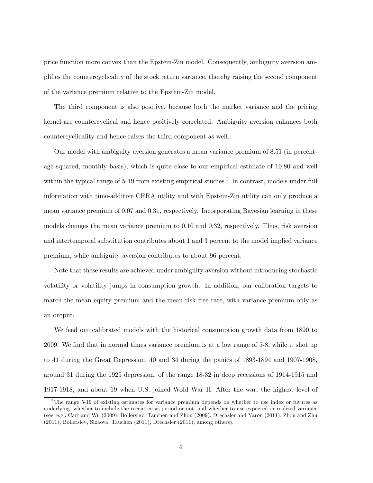price function more convex than the Epstein-Zin model. Consequently, ambiguity aversion amplifies the countercyclicality of the stock return variance, thereby raising the second component of the variance premium relative to the Epstein-Zin model.

The third component is also positive, because both the market variance and the pricing kernel are countercyclical and hence positively correlated. Ambiguity aversion enhances both countercyclicality and hence raises the third component as well.

Our model with ambiguity aversion generates a mean variance premium of 8:51 (in percentage squared, monthly basis), which is quite close to our empirical estimate of 10:80 and well within the typical range of 5-19 from existing empirical studies.<sup>3</sup> In contrast, models under full information with time-additive CRRA utility and with Epstein-Zin utility can only produce a mean variance premium of 0.07 and 0.31, respectively. Incorporating Bayesian learning in these models changes the mean variance premium to 0:10 and 0:32, respectively. Thus, risk aversion and intertemporal substitution contributes about 1 and 3 percent to the model implied variance premium, while ambiguity aversion contributes to about 96 percent.

Note that these results are achieved under ambiguity aversion without introducing stochastic volatility or volatility jumps in consumption growth. In addition, our calibration targets to match the mean equity premium and the mean risk-free rate, with variance premium only as an output.

We feed our calibrated models with the historical consumption growth data from 1890 to 2009. We find that in normal times variance premium is at a low range of 5-8, while it shot up to 41 during the Great Depression, 40 and 34 during the panics of 1893-1894 and 1907-1908, around 31 during the 1925 depression, of the range 18-32 in deep recessions of 1914-1915 and 1917-1918, and about 19 when U.S. joined Wold War II. After the war, the highest level of

<sup>&</sup>lt;sup>3</sup>The range 5-19 of existing estimates for variance premium depends on whether to use index or futures as underlying, whether to include the recent crisis period or not, and whether to use expected or realized variance (see, e.g., Carr and Wu (2009), Bollerslev, Tauchen and Zhou (2009), Drechsler and Yaron (2011), Zhou and Zhu (2011), Bollerslev, Sizaova, Tauchen (2011), Drechsler (2011), among others).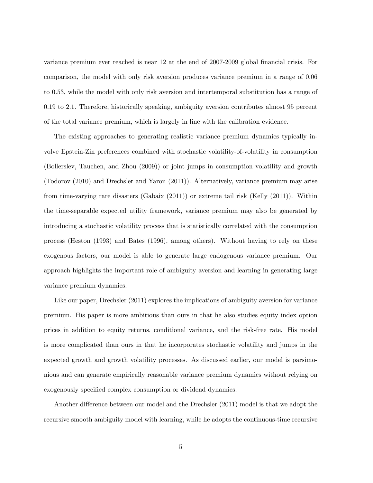variance premium ever reached is near 12 at the end of 2007-2009 global financial crisis. For comparison, the model with only risk aversion produces variance premium in a range of 0.06 to 0.53, while the model with only risk aversion and intertemporal substitution has a range of 0.19 to 2.1. Therefore, historically speaking, ambiguity aversion contributes almost 95 percent of the total variance premium, which is largely in line with the calibration evidence.

The existing approaches to generating realistic variance premium dynamics typically involve Epstein-Zin preferences combined with stochastic volatility-of-volatility in consumption (Bollerslev, Tauchen, and Zhou (2009)) or joint jumps in consumption volatility and growth (Todorov (2010) and Drechsler and Yaron (2011)). Alternatively, variance premium may arise from time-varying rare disasters (Gabaix (2011)) or extreme tail risk (Kelly (2011)). Within the time-separable expected utility framework, variance premium may also be generated by introducing a stochastic volatility process that is statistically correlated with the consumption process (Heston (1993) and Bates (1996), among others). Without having to rely on these exogenous factors, our model is able to generate large endogenous variance premium. Our approach highlights the important role of ambiguity aversion and learning in generating large variance premium dynamics.

Like our paper, Drechsler (2011) explores the implications of ambiguity aversion for variance premium. His paper is more ambitious than ours in that he also studies equity index option prices in addition to equity returns, conditional variance, and the risk-free rate. His model is more complicated than ours in that he incorporates stochastic volatility and jumps in the expected growth and growth volatility processes. As discussed earlier, our model is parsimonious and can generate empirically reasonable variance premium dynamics without relying on exogenously specified complex consumption or dividend dynamics.

Another difference between our model and the Drechsler (2011) model is that we adopt the recursive smooth ambiguity model with learning, while he adopts the continuous-time recursive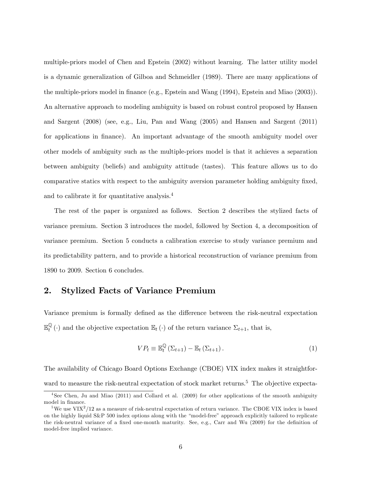multiple-priors model of Chen and Epstein (2002) without learning. The latter utility model is a dynamic generalization of Gilboa and Schmeidler (1989). There are many applications of the multiple-priors model in finance (e.g., Epstein and Wang (1994), Epstein and Miao (2003)). An alternative approach to modeling ambiguity is based on robust control proposed by Hansen and Sargent (2008) (see, e.g., Liu, Pan and Wang (2005) and Hansen and Sargent (2011) for applications in finance). An important advantage of the smooth ambiguity model over other models of ambiguity such as the multiple-priors model is that it achieves a separation between ambiguity (beliefs) and ambiguity attitude (tastes). This feature allows us to do comparative statics with respect to the ambiguity aversion parameter holding ambiguity fixed, and to calibrate it for quantitative analysis.<sup>4</sup>

The rest of the paper is organized as follows. Section 2 describes the stylized facts of variance premium. Section 3 introduces the model, followed by Section 4, a decomposition of variance premium. Section 5 conducts a calibration exercise to study variance premium and its predictability pattern, and to provide a historical reconstruction of variance premium from 1890 to 2009. Section 6 concludes.

### 2. Stylized Facts of Variance Premium

Variance premium is formally defined as the difference between the risk-neutral expectation  $\mathbb{E}_{t}^{\mathbb{Q}}(\cdot)$  and the objective expectation  $\mathbb{E}_{t}(\cdot)$  of the return variance  $\Sigma_{t+1}$ , that is,

$$
VP_t \equiv \mathbb{E}_t^{\mathbb{Q}}\left(\Sigma_{t+1}\right) - \mathbb{E}_t\left(\Sigma_{t+1}\right). \tag{1}
$$

The availability of Chicago Board Options Exchange (CBOE) VIX index makes it straightforward to measure the risk-neutral expectation of stock market returns.<sup>5</sup> The objective expecta-

<sup>4</sup> See Chen, Ju and Miao (2011) and Collard et al. (2009) for other applications of the smooth ambiguity model in finance.

 ${}^{5}$ We use VIX<sup>2</sup>/12 as a measure of risk-neutral expectation of return variance. The CBOE VIX index is based on the highly liquid S&P 500 index options along with the "model-free" approach explicitly tailored to replicate the risk-neutral variance of a fixed one-month maturity. See, e.g., Carr and Wu (2009) for the definition of model-free implied variance.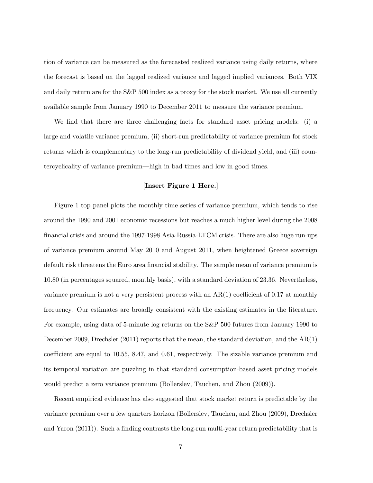tion of variance can be measured as the forecasted realized variance using daily returns, where the forecast is based on the lagged realized variance and lagged implied variances. Both VIX and daily return are for the S&P 500 index as a proxy for the stock market. We use all currently available sample from January 1990 to December 2011 to measure the variance premium.

We find that there are three challenging facts for standard asset pricing models: (i) a large and volatile variance premium, (ii) short-run predictability of variance premium for stock returns which is complementary to the long-run predictability of dividend yield, and (iii) countercyclicality of variance premium—high in bad times and low in good times.

### [Insert Figure 1 Here.]

Figure 1 top panel plots the monthly time series of variance premium, which tends to rise around the 1990 and 2001 economic recessions but reaches a much higher level during the 2008 Önancial crisis and around the 1997-1998 Asia-Russia-LTCM crisis. There are also huge run-ups of variance premium around May 2010 and August 2011, when heightened Greece sovereign default risk threatens the Euro area financial stability. The sample mean of variance premium is 10:80 (in percentages squared, monthly basis), with a standard deviation of 23:36. Nevertheless, variance premium is not a very persistent process with an  $AR(1)$  coefficient of 0.17 at monthly frequency. Our estimates are broadly consistent with the existing estimates in the literature. For example, using data of 5-minute log returns on the S&P 500 futures from January 1990 to December 2009, Drechsler (2011) reports that the mean, the standard deviation, and the AR(1) coefficient are equal to 10.55, 8.47, and 0.61, respectively. The sizable variance premium and its temporal variation are puzzling in that standard consumption-based asset pricing models would predict a zero variance premium (Bollerslev, Tauchen, and Zhou (2009)).

Recent empirical evidence has also suggested that stock market return is predictable by the variance premium over a few quarters horizon (Bollerslev, Tauchen, and Zhou (2009), Drechsler and Yaron (2011)). Such a finding contrasts the long-run multi-year return predictability that is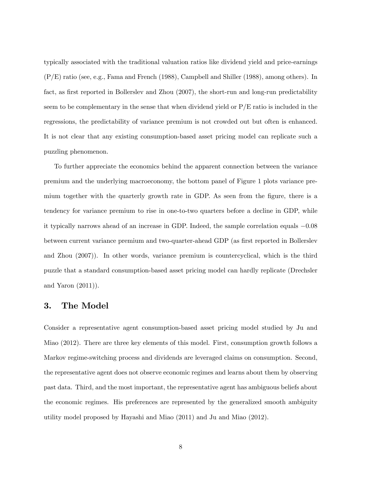typically associated with the traditional valuation ratios like dividend yield and price-earnings (P/E) ratio (see, e.g., Fama and French (1988), Campbell and Shiller (1988), among others). In fact, as first reported in Bollerslev and Zhou (2007), the short-run and long-run predictability seem to be complementary in the sense that when dividend yield or  $P/E$  ratio is included in the regressions, the predictability of variance premium is not crowded out but often is enhanced. It is not clear that any existing consumption-based asset pricing model can replicate such a puzzling phenomenon.

To further appreciate the economics behind the apparent connection between the variance premium and the underlying macroeconomy, the bottom panel of Figure 1 plots variance premium together with the quarterly growth rate in GDP. As seen from the figure, there is a tendency for variance premium to rise in one-to-two quarters before a decline in GDP, while it typically narrows ahead of an increase in GDP. Indeed, the sample correlation equals  $-0.08$ between current variance premium and two-quarter-ahead GDP (as first reported in Bollerslev and Zhou (2007)). In other words, variance premium is countercyclical, which is the third puzzle that a standard consumption-based asset pricing model can hardly replicate (Drechsler and Yaron (2011)).

### 3. The Model

Consider a representative agent consumption-based asset pricing model studied by Ju and Miao (2012). There are three key elements of this model. First, consumption growth follows a Markov regime-switching process and dividends are leveraged claims on consumption. Second, the representative agent does not observe economic regimes and learns about them by observing past data. Third, and the most important, the representative agent has ambiguous beliefs about the economic regimes. His preferences are represented by the generalized smooth ambiguity utility model proposed by Hayashi and Miao (2011) and Ju and Miao (2012).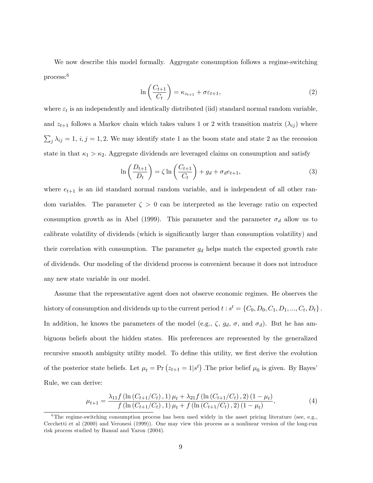We now describe this model formally. Aggregate consumption follows a regime-switching process:<sup>6</sup>

$$
\ln\left(\frac{C_{t+1}}{C_t}\right) = \kappa_{z_{t+1}} + \sigma \varepsilon_{t+1},\tag{2}
$$

where  $\varepsilon_t$  is an independently and identically distributed (iid) standard normal random variable, and  $z_{t+1}$  follows a Markov chain which takes values 1 or 2 with transition matrix  $(\lambda_{ij})$  where  $\sum_{j} \lambda_{ij} = 1, i, j = 1, 2$ . We may identify state 1 as the boom state and state 2 as the recession state in that  $\kappa_1 > \kappa_2$ . Aggregate dividends are leveraged claims on consumption and satisfy

$$
\ln\left(\frac{D_{t+1}}{D_t}\right) = \zeta \ln\left(\frac{C_{t+1}}{C_t}\right) + g_d + \sigma_d e_{t+1},\tag{3}
$$

where  $e_{t+1}$  is an iid standard normal random variable, and is independent of all other random variables. The parameter  $\zeta > 0$  can be interpreted as the leverage ratio on expected consumption growth as in Abel (1999). This parameter and the parameter  $\sigma_d$  allow us to calibrate volatility of dividends (which is significantly larger than consumption volatility) and their correlation with consumption. The parameter  $g_d$  helps match the expected growth rate of dividends. Our modeling of the dividend process is convenient because it does not introduce any new state variable in our model.

Assume that the representative agent does not observe economic regimes. He observes the history of consumption and dividends up to the current period  $t : s^t = \{C_0, D_0, C_1, D_1, ..., C_t, D_t\}$ . In addition, he knows the parameters of the model (e.g.,  $\zeta$ ,  $g_d$ ,  $\sigma$ , and  $\sigma_d$ ). But he has ambiguous beliefs about the hidden states. His preferences are represented by the generalized recursive smooth ambiguity utility model. To define this utility, we first derive the evolution of the posterior state beliefs. Let  $\mu_t = \Pr(z_{t+1} = 1 | s^t)$ . The prior belief  $\mu_0$  is given. By Bayes' Rule, we can derive:

$$
\mu_{t+1} = \frac{\lambda_{11} f \left( \ln \left( C_{t+1}/C_t \right), 1 \right) \mu_t + \lambda_{21} f \left( \ln \left( C_{t+1}/C_t \right), 2 \right) \left( 1 - \mu_t \right)}{f \left( \ln \left( C_{t+1}/C_t \right), 1 \right) \mu_t + f \left( \ln \left( C_{t+1}/C_t \right), 2 \right) \left( 1 - \mu_t \right)},\tag{4}
$$

<sup>&</sup>lt;sup>6</sup>The regime-switching consumption process has been used widely in the asset pricing literature (see, e.g., Cecchetti et al (2000) and Veronesi (1999)). One may view this process as a nonlinear version of the long-run risk process studied by Bansal and Yaron (2004).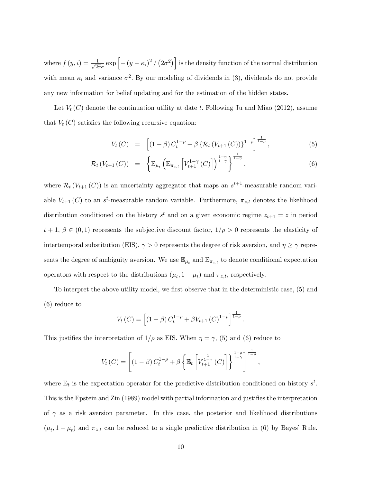where  $f(y, i) = \frac{1}{\sqrt{2i}}$  $\frac{1}{2\pi\sigma}$  exp  $\left[-(y-\kappa_i)^2/(2\sigma^2)\right]$  is the density function of the normal distribution with mean  $\kappa_i$  and variance  $\sigma^2$ . By our modeling of dividends in (3), dividends do not provide any new information for belief updating and for the estimation of the hidden states.

Let  $V_t(C)$  denote the continuation utility at date t. Following Ju and Miao (2012), assume that  $V_t(C)$  satisfies the following recursive equation:

$$
V_t(C) = \left[ (1 - \beta) C_t^{1 - \rho} + \beta \{ \mathcal{R}_t (V_{t+1}(C)) \}^{1 - \rho} \right]^{\frac{1}{1 - \rho}}, \tag{5}
$$

$$
\mathcal{R}_{t}\left(V_{t+1}\left(C\right)\right) = \left\{\mathbb{E}_{\mu_{t}}\left(\mathbb{E}_{\pi_{z,t}}\left[V_{t+1}^{1-\gamma}\left(C\right)\right]\right)^{\frac{1-\eta}{1-\gamma}}\right\}^{\frac{1}{1-\eta}},\tag{6}
$$

where  $\mathcal{R}_t(V_{t+1}(C))$  is an uncertainty aggregator that maps an  $s^{t+1}$ -measurable random variable  $V_{t+1}(C)$  to an s<sup>t</sup>-measurable random variable. Furthermore,  $\pi_{z,t}$  denotes the likelihood distribution conditioned on the history  $s^t$  and on a given economic regime  $z_{t+1} = z$  in period  $t + 1, \beta \in (0,1)$  represents the subjective discount factor,  $1/\rho > 0$  represents the elasticity of intertemporal substitution (EIS),  $\gamma > 0$  represents the degree of risk aversion, and  $\eta \ge \gamma$  represents the degree of ambiguity aversion. We use  $\mathbb{E}_{\mu_t}$  and  $\mathbb{E}_{\pi_{z,t}}$  to denote conditional expectation operators with respect to the distributions  $(\mu_t, 1 - \mu_t)$  and  $\pi_{z,t}$ , respectively.

To interpret the above utility model, we first observe that in the deterministic case, (5) and (6) reduce to

$$
V_t(C) = \left[ (1 - \beta) C_t^{1 - \rho} + \beta V_{t+1} (C)^{1 - \rho} \right]^{\frac{1}{1 - \rho}}.
$$

This justifies the interpretation of  $1/\rho$  as EIS. When  $\eta = \gamma$ , (5) and (6) reduce to

$$
V_t(C) = \left[ (1 - \beta) C_t^{1 - \rho} + \beta \left\{ \mathbb{E}_t \left[ V_{t+1}^{\frac{1}{1 - \gamma}}(C) \right] \right\}^{\frac{1 - \rho}{1 - \gamma}} \right]^{-\frac{1}{1 - \rho}},
$$

where  $\mathbb{E}_t$  is the expectation operator for the predictive distribution conditioned on history  $s^t$ . This is the Epstein and Zin (1989) model with partial information and justifies the interpretation of  $\gamma$  as a risk aversion parameter. In this case, the posterior and likelihood distributions  $(\mu_t, 1 - \mu_t)$  and  $\pi_{z,t}$  can be reduced to a single predictive distribution in (6) by Bayes' Rule.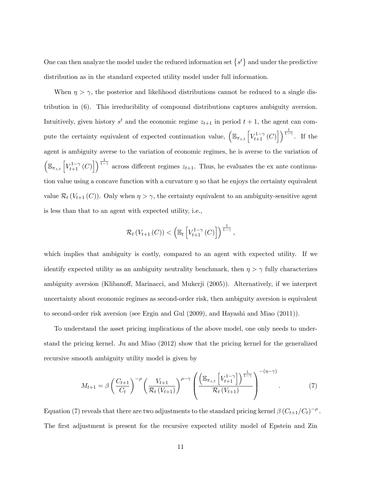One can then analyze the model under the reduced information set  $\{s^t\}$  and under the predictive distribution as in the standard expected utility model under full information.

When  $\eta > \gamma$ , the posterior and likelihood distributions cannot be reduced to a single distribution in (6). This irreducibility of compound distributions captures ambiguity aversion. Intuitively, given history  $s^t$  and the economic regime  $z_{t+1}$  in period  $t+1$ , the agent can compute the certainty equivalent of expected continuation value,  $\left( \mathbb{E}_{\pi_{z,t}} \left[ V_{t+1}^{1-\gamma}(C) \right] \right)$  $\big]$ ) $\frac{1}{1-\gamma}$ . If the agent is ambiguity averse to the variation of economic regimes, he is averse to the variation of  $\Big(\mathbb{E}_{\pi_{z,t}}\left[V_{t+1}^{1-\gamma}\left(C\right)\right.$  $\left[\right]$   $\frac{1}{1-\gamma}$  across different regimes  $z_{t+1}$ . Thus, he evaluates the ex ante continuation value using a concave function with a curvature  $\eta$  so that he enjoys the certainty equivalent value  $\mathcal{R}_t(V_{t+1}(C))$ . Only when  $\eta > \gamma$ , the certainty equivalent to an ambiguity-sensitive agent is less than that to an agent with expected utility, i.e.,

$$
\mathcal{R}_t\left(V_{t+1}\left(C\right)\right) < \left(\mathbb{E}_t\left[V_{t+1}^{1-\gamma}\left(C\right)\right]\right)^{\frac{1}{1-\gamma}},
$$

which implies that ambiguity is costly, compared to an agent with expected utility. If we identify expected utility as an ambiguity neutrality benchmark, then  $\eta > \gamma$  fully characterizes ambiguity aversion (Klibanoff, Marinacci, and Mukerji (2005)). Alternatively, if we interpret uncertainty about economic regimes as second-order risk, then ambiguity aversion is equivalent to second-order risk aversion (see Ergin and Gul (2009), and Hayashi and Miao (2011)).

To understand the asset pricing implications of the above model, one only needs to understand the pricing kernel. Ju and Miao (2012) show that the pricing kernel for the generalized recursive smooth ambiguity utility model is given by

$$
M_{t+1} = \beta \left(\frac{C_{t+1}}{C_t}\right)^{-\rho} \left(\frac{V_{t+1}}{\mathcal{R}_t(V_{t+1})}\right)^{\rho-\gamma} \left(\frac{\left(\mathbb{E}_{\pi_{z,t}}\left[V_{t+1}^{1-\gamma}\right]\right)^{\frac{1}{1-\gamma}}}{\mathcal{R}_t(V_{t+1})}\right)^{-(\eta-\gamma)}.
$$
(7)

Equation (7) reveals that there are two adjustments to the standard pricing kernel  $\beta\left(C_{t+1}/C_{t}\right)^{-\rho}$ . The first adjustment is present for the recursive expected utility model of Epstein and Zin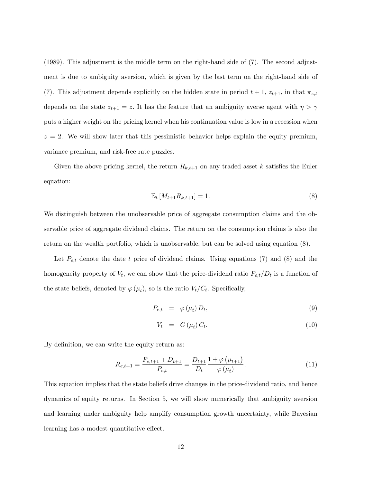(1989). This adjustment is the middle term on the right-hand side of (7). The second adjustment is due to ambiguity aversion, which is given by the last term on the right-hand side of (7). This adjustment depends explicitly on the hidden state in period  $t + 1$ ,  $z_{t+1}$ , in that  $\pi_{z,t}$ depends on the state  $z_{t+1} = z$ . It has the feature that an ambiguity averse agent with  $\eta > \gamma$ puts a higher weight on the pricing kernel when his continuation value is low in a recession when  $z = 2$ . We will show later that this pessimistic behavior helps explain the equity premium, variance premium, and risk-free rate puzzles.

Given the above pricing kernel, the return  $R_{k,t+1}$  on any traded asset k satisfies the Euler equation:

$$
\mathbb{E}_t\left[M_{t+1}R_{k,t+1}\right] = 1.\tag{8}
$$

We distinguish between the unobservable price of aggregate consumption claims and the observable price of aggregate dividend claims. The return on the consumption claims is also the return on the wealth portfolio, which is unobservable, but can be solved using equation (8).

Let  $P_{e,t}$  denote the date t price of dividend claims. Using equations (7) and (8) and the homogeneity property of  $V_t$ , we can show that the price-dividend ratio  $P_{e,t}/D_t$  is a function of the state beliefs, denoted by  $\varphi(\mu_t)$ , so is the ratio  $V_t/C_t$ . Specifically,

$$
P_{e,t} = \varphi(\mu_t) D_t, \qquad (9)
$$

$$
V_t = G(\mu_t) C_t. \tag{10}
$$

By definition, we can write the equity return as:

$$
R_{e,t+1} = \frac{P_{e,t+1} + D_{t+1}}{P_{e,t}} = \frac{D_{t+1}}{D_t} \frac{1 + \varphi(\mu_{t+1})}{\varphi(\mu_t)}.
$$
\n(11)

This equation implies that the state beliefs drive changes in the price-dividend ratio, and hence dynamics of equity returns. In Section 5, we will show numerically that ambiguity aversion and learning under ambiguity help amplify consumption growth uncertainty, while Bayesian learning has a modest quantitative effect.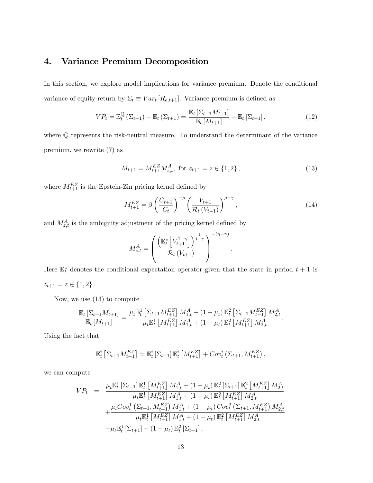# 4. Variance Premium Decomposition

In this section, we explore model implications for variance premium. Denote the conditional variance of equity return by  $\Sigma_t \equiv Var_t [R_{e,t+1}]$ . Variance premium is defined as

$$
VP_t = \mathbb{E}_t^{\mathbb{Q}} \left( \Sigma_{t+1} \right) - \mathbb{E}_t \left( \Sigma_{t+1} \right) = \frac{\mathbb{E}_t \left[ \Sigma_{t+1} M_{t+1} \right]}{\mathbb{E}_t \left[ M_{t+1} \right]} - \mathbb{E}_t \left[ \Sigma_{t+1} \right], \tag{12}
$$

where Q represents the risk-neutral measure. To understand the determinant of the variance premium, we rewrite (7) as

$$
M_{t+1} = M_{t+1}^{EZ} M_{z,t}^{A}, \text{ for } z_{t+1} = z \in \{1, 2\},\tag{13}
$$

where  $M_{t+1}^{EZ}$  is the Epstein-Zin pricing kernel defined by

$$
M_{t+1}^{EZ} = \beta \left(\frac{C_{t+1}}{C_t}\right)^{-\rho} \left(\frac{V_{t+1}}{\mathcal{R}_t \left(V_{t+1}\right)}\right)^{\rho - \gamma},\tag{14}
$$

:

and  $M_{z,t}^A$  is the ambiguity adjustment of the pricing kernel defined by

$$
M_{z,t}^{A} = \left(\frac{\left(\mathbb{E}_{t}^{z} \left[V_{t+1}^{1-\gamma}\right]\right)^{\frac{1}{1-\gamma}}}{\mathcal{R}_{t} \left(V_{t+1}\right)}\right)^{-(\eta-\gamma)}
$$

Here  $\mathbb{E}_{t}^{z}$  denotes the conditional expectation operator given that the state in period  $t + 1$  is  $z_{t+1} = z \in \{1, 2\}$ .

Now, we use (13) to compute

$$
\frac{\mathbb{E}_t \left[ \Sigma_{t+1} M_{t+1} \right]}{\mathbb{E}_t \left[ M_{t+1} \right]} = \frac{\mu_t \mathbb{E}_t^1 \left[ \Sigma_{t+1} M_{t+1}^{EZ} \right] M_{1,t}^A + (1 - \mu_t) \mathbb{E}_t^2 \left[ \Sigma_{t+1} M_{t+1}^{EZ} \right] M_{2,t}^A}{\mu_t \mathbb{E}_t^1 \left[ M_{t+1}^{EZ} \right] M_{1,t}^A + (1 - \mu_t) \mathbb{E}_t^2 \left[ M_{t+1}^{EZ} \right] M_{2,t}^A}.
$$

Using the fact that

$$
\mathbb{E}_t^i \left[ \Sigma_{t+1} M_{t+1}^{EZ} \right] = \mathbb{E}_t^i \left[ \Sigma_{t+1} \right] \mathbb{E}_t^i \left[ M_{t+1}^{EZ} \right] + Cov_t^i \left( \Sigma_{t+1}, M_{t+1}^{EZ} \right),
$$

we can compute

$$
VP_{t} = \frac{\mu_{t} \mathbb{E}_{t}^{1} \left[\sum_{t+1}\right] \mathbb{E}_{t}^{1} \left[M_{t+1}^{EZ}\right] M_{1,t}^{A} + (1 - \mu_{t}) \mathbb{E}_{t}^{2} \left[\sum_{t+1}\right] \mathbb{E}_{t}^{2} \left[M_{t+1}^{EZ}\right] M_{2,t}^{A}}{\mu_{t} \mathbb{E}_{t}^{1} \left[M_{t+1}^{EZ}\right] M_{1,t}^{A} + (1 - \mu_{t}) \mathbb{E}_{t}^{2} \left[M_{t+1}^{EZ}\right] M_{2,t}^{A}} + \frac{\mu_{t} Cov_{t}^{1} \left(\sum_{t+1} M_{t+1}^{EZ}\right) M_{1,t}^{A} + (1 - \mu_{t}) Cov_{t}^{2} \left(\sum_{t+1} M_{t+1}^{EZ}\right) M_{2,t}^{A}}{\mu_{t} \mathbb{E}_{t}^{1} \left[M_{t+1}^{EZ}\right] M_{1,t}^{A} + (1 - \mu_{t}) \mathbb{E}_{t}^{2} \left[M_{t+1}^{EZ}\right] M_{2,t}^{A}} - \mu_{t} \mathbb{E}_{t}^{1} \left[\sum_{t+1}\right] - (1 - \mu_{t}) \mathbb{E}_{t}^{2} \left[\sum_{t+1}\right],
$$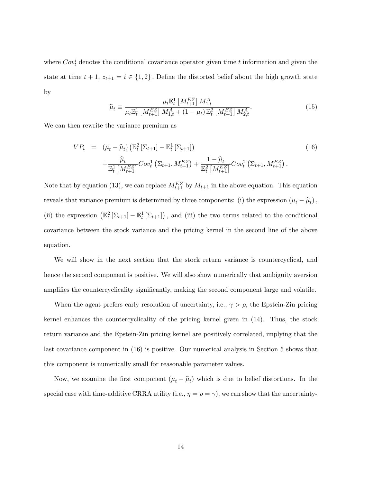where  $Cov_t^i$  denotes the conditional covariance operator given time t information and given the state at time  $t + 1$ ,  $z_{t+1} = i \in \{1, 2\}$ . Define the distorted belief about the high growth state by

$$
\widehat{\mu}_t \equiv \frac{\mu_t \mathbb{E}_t^1 \left[ M_{t+1}^{EZ} \right] M_{1,t}^A}{\mu_t \mathbb{E}_t^1 \left[ M_{t+1}^{EZ} \right] M_{1,t}^A + (1 - \mu_t) \mathbb{E}_t^2 \left[ M_{t+1}^{EZ} \right] M_{2,t}^A}.
$$
\n(15)

We can then rewrite the variance premium as

$$
VP_{t} = (\mu_{t} - \widehat{\mu}_{t}) \left( \mathbb{E}_{t}^{2} \left[ \Sigma_{t+1} \right] - \mathbb{E}_{t}^{1} \left[ \Sigma_{t+1} \right] \right)
$$
  
+ 
$$
\frac{\widehat{\mu}_{t}}{\mathbb{E}_{t}^{1} \left[ M_{t+1}^{EZ} \right]} Cov_{t}^{1} \left( \Sigma_{t+1}, M_{t+1}^{EZ} \right) + \frac{1 - \widehat{\mu}_{t}}{\mathbb{E}_{t}^{2} \left[ M_{t+1}^{EZ} \right]} Cov_{t}^{2} \left( \Sigma_{t+1}, M_{t+1}^{EZ} \right).
$$
  
(16)

Note that by equation (13), we can replace  $M_{t+1}^{EZ}$  by  $M_{t+1}$  in the above equation. This equation reveals that variance premium is determined by three components: (i) the expression  $(\mu_t - \hat{\mu}_t)$ , (ii) the expression  $(\mathbb{E}_t^2 [\Sigma_{t+1}] - \mathbb{E}_t^1 [\Sigma_{t+1}])$ , and (iii) the two terms related to the conditional covariance between the stock variance and the pricing kernel in the second line of the above equation.

We will show in the next section that the stock return variance is countercyclical, and hence the second component is positive. We will also show numerically that ambiguity aversion amplifies the countercyclicality significantly, making the second component large and volatile.

When the agent prefers early resolution of uncertainty, i.e.,  $\gamma > \rho$ , the Epstein-Zin pricing kernel enhances the countercyclicality of the pricing kernel given in (14). Thus, the stock return variance and the Epstein-Zin pricing kernel are positively correlated, implying that the last covariance component in (16) is positive. Our numerical analysis in Section 5 shows that this component is numerically small for reasonable parameter values.

Now, we examine the first component  $(\mu_t - \hat{\mu}_t)$  which is due to belief distortions. In the special case with time-additive CRRA utility (i.e.,  $\eta = \rho = \gamma$ ), we can show that the uncertainty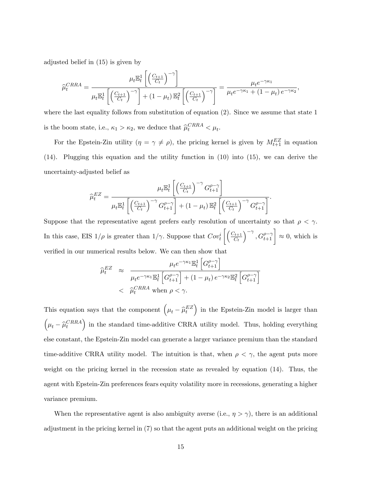adjusted belief in (15) is given by

$$
\widehat{\mu}_t^{CRRA} = \frac{\mu_t \mathbb{E}_t^1 \left[ \left( \frac{C_{t+1}}{C_t} \right)^{-\gamma} \right]}{\mu_t \mathbb{E}_t^1 \left[ \left( \frac{C_{t+1}}{C_t} \right)^{-\gamma} \right] + (1 - \mu_t) \mathbb{E}_t^2 \left[ \left( \frac{C_{t+1}}{C_t} \right)^{-\gamma} \right]} = \frac{\mu_t e^{-\gamma \kappa_1}}{\mu_t e^{-\gamma \kappa_1} + (1 - \mu_t) e^{-\gamma \kappa_2}},
$$

where the last equality follows from substitution of equation (2). Since we assume that state 1 is the boom state, i.e.,  $\kappa_1 > \kappa_2$ , we deduce that  $\widehat{\mu}_t^{CRRA} < \mu_t$ .

For the Epstein-Zin utility  $(\eta = \gamma \neq \rho)$ , the pricing kernel is given by  $M_{t+1}^{EZ}$  in equation (14). Plugging this equation and the utility function in (10) into (15), we can derive the uncertainty-adjusted belief as

$$
\widehat{\mu}_t^{EZ} = \frac{\mu_t \mathbb{E}_t^1 \left[ \left( \frac{C_{t+1}}{C_t} \right)^{-\gamma} G_{t+1}^{\rho - \gamma} \right]}{\mu_t \mathbb{E}_t^1 \left[ \left( \frac{C_{t+1}}{C_t} \right)^{-\gamma} G_{t+1}^{\rho - \gamma} \right] + (1 - \mu_t) \mathbb{E}_t^2 \left[ \left( \frac{C_{t+1}}{C_t} \right)^{-\gamma} G_{t+1}^{\rho - \gamma} \right]}.
$$

Suppose that the representative agent prefers early resolution of uncertainty so that  $\rho < \gamma$ . In this case, EIS  $1/\rho$  is greater than  $1/\gamma$ . Suppose that  $Cov_t^i$  $\bigcap_{t+1}$  $\overline{C_t}$  $\left[\right]^{-\gamma}, G_{t+1}^{\rho-\gamma}$   $\right] \approx 0$ , which is verified in our numerical results below. We can then show that

$$
\begin{aligned}\n\widehat{\mu}_t^{EZ} &\approx \frac{\mu_t e^{-\gamma \kappa_1} \mathbb{E}_t^1 \left[ G_{t+1}^{\rho - \gamma} \right]}{\mu_t e^{-\gamma \kappa_1} \mathbb{E}_t^1 \left[ G_{t+1}^{\rho - \gamma} \right] + (1 - \mu_t) e^{-\gamma \kappa_2} \mathbb{E}_t^2 \left[ G_{t+1}^{\rho - \gamma} \right]} \\
&< \widehat{\mu}_t^{CRRA} \text{ when } \rho < \gamma.\n\end{aligned}
$$

This equation says that the component  $(\mu_t - \widehat{\mu}_t^{EZ})$ ) in the Epstein-Zin model is larger than  $\Big(\mu_t - \widehat \mu^{CRRA}_t$ ) in the standard time-additive CRRA utility model. Thus, holding everything else constant, the Epstein-Zin model can generate a larger variance premium than the standard time-additive CRRA utility model. The intuition is that, when  $\rho < \gamma$ , the agent puts more weight on the pricing kernel in the recession state as revealed by equation (14). Thus, the agent with Epstein-Zin preferences fears equity volatility more in recessions, generating a higher variance premium.

When the representative agent is also ambiguity averse (i.e.,  $\eta > \gamma$ ), there is an additional adjustment in the pricing kernel in (7) so that the agent puts an additional weight on the pricing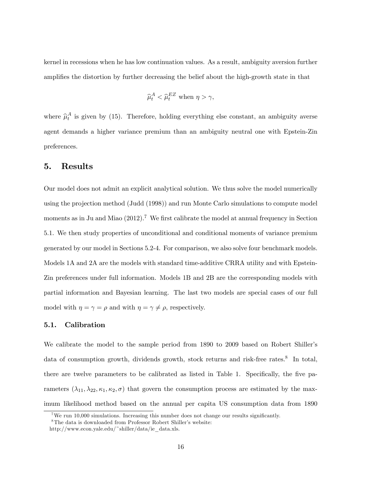kernel in recessions when he has low continuation values. As a result, ambiguity aversion further amplifies the distortion by further decreasing the belief about the high-growth state in that

$$
\widehat{\mu}_t^A < \widehat{\mu}_t^{EZ} \text{ when } \eta > \gamma,
$$

where  $\hat{\mu}_t^A$  is given by (15). Therefore, holding everything else constant, an ambiguity averse agent demands a higher variance premium than an ambiguity neutral one with Epstein-Zin preferences.

### 5. Results

Our model does not admit an explicit analytical solution. We thus solve the model numerically using the projection method (Judd (1998)) and run Monte Carlo simulations to compute model moments as in Ju and Miao  $(2012)$ .<sup>7</sup> We first calibrate the model at annual frequency in Section 5.1. We then study properties of unconditional and conditional moments of variance premium generated by our model in Sections 5.2-4. For comparison, we also solve four benchmark models. Models 1A and 2A are the models with standard time-additive CRRA utility and with Epstein-Zin preferences under full information. Models 1B and 2B are the corresponding models with partial information and Bayesian learning. The last two models are special cases of our full model with  $\eta = \gamma = \rho$  and with  $\eta = \gamma \neq \rho$ , respectively.

#### 5.1. Calibration

We calibrate the model to the sample period from 1890 to 2009 based on Robert Shiller's data of consumption growth, dividends growth, stock returns and risk-free rates.<sup>8</sup> In total, there are twelve parameters to be calibrated as listed in Table 1. Specifically, the five parameters  $(\lambda_{11}, \lambda_{22}, \kappa_1, \kappa_2, \sigma)$  that govern the consumption process are estimated by the maximum likelihood method based on the annual per capita US consumption data from 1890

<sup>&</sup>lt;sup>7</sup>We run 10,000 simulations. Increasing this number does not change our results significantly.

 ${}^{8}$ The data is downloaded from Professor Robert Shiller's website:

http://www.econ.yale.edu/~shiller/data/ie\_data.xls.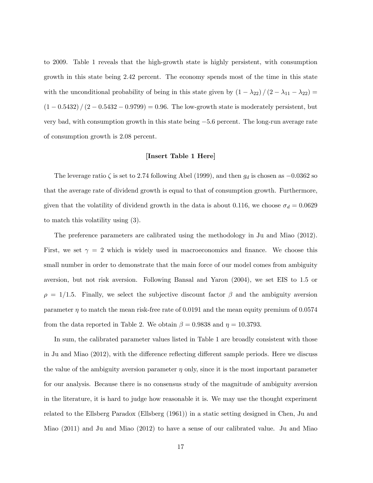to 2009. Table 1 reveals that the high-growth state is highly persistent, with consumption growth in this state being 2:42 percent. The economy spends most of the time in this state with the unconditional probability of being in this state given by  $(1 - \lambda_{22}) / (2 - \lambda_{11} - \lambda_{22}) =$  $(1 - 0.5432) / (2 - 0.5432 - 0.9799) = 0.96$ . The low-growth state is moderately persistent, but very bad, with consumption growth in this state being  $-5.6$  percent. The long-run average rate of consumption growth is 2:08 percent.

#### [Insert Table 1 Here]

The leverage ratio  $\zeta$  is set to 2.74 following Abel (1999), and then  $g_d$  is chosen as  $-0.0362$  so that the average rate of dividend growth is equal to that of consumption growth. Furthermore, given that the volatility of dividend growth in the data is about 0.116, we choose  $\sigma_d = 0.0629$ to match this volatility using (3).

The preference parameters are calibrated using the methodology in Ju and Miao (2012). First, we set  $\gamma = 2$  which is widely used in macroeconomics and finance. We choose this small number in order to demonstrate that the main force of our model comes from ambiguity aversion, but not risk aversion. Following Bansal and Yaron (2004), we set EIS to 1:5 or  $\rho = 1/1.5$ . Finally, we select the subjective discount factor  $\beta$  and the ambiguity aversion parameter  $\eta$  to match the mean risk-free rate of 0.0191 and the mean equity premium of 0.0574 from the data reported in Table 2. We obtain  $\beta = 0.9838$  and  $\eta = 10.3793$ .

In sum, the calibrated parameter values listed in Table 1 are broadly consistent with those in Ju and Miao (2012), with the difference reflecting different sample periods. Here we discuss the value of the ambiguity aversion parameter  $\eta$  only, since it is the most important parameter for our analysis. Because there is no consensus study of the magnitude of ambiguity aversion in the literature, it is hard to judge how reasonable it is. We may use the thought experiment related to the Ellsberg Paradox (Ellsberg (1961)) in a static setting designed in Chen, Ju and Miao (2011) and Ju and Miao (2012) to have a sense of our calibrated value. Ju and Miao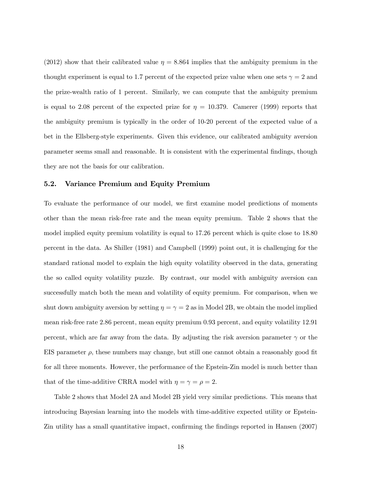(2012) show that their calibrated value  $\eta = 8.864$  implies that the ambiguity premium in the thought experiment is equal to 1.7 percent of the expected prize value when one sets  $\gamma = 2$  and the prize-wealth ratio of 1 percent. Similarly, we can compute that the ambiguity premium is equal to 2.08 percent of the expected prize for  $\eta = 10.379$ . Camerer (1999) reports that the ambiguity premium is typically in the order of 10-20 percent of the expected value of a bet in the Ellsberg-style experiments. Given this evidence, our calibrated ambiguity aversion parameter seems small and reasonable. It is consistent with the experimental Öndings, though they are not the basis for our calibration.

#### 5.2. Variance Premium and Equity Premium

To evaluate the performance of our model, we first examine model predictions of moments other than the mean risk-free rate and the mean equity premium. Table 2 shows that the model implied equity premium volatility is equal to 17:26 percent which is quite close to 18:80 percent in the data. As Shiller (1981) and Campbell (1999) point out, it is challenging for the standard rational model to explain the high equity volatility observed in the data, generating the so called equity volatility puzzle. By contrast, our model with ambiguity aversion can successfully match both the mean and volatility of equity premium. For comparison, when we shut down ambiguity aversion by setting  $\eta = \gamma = 2$  as in Model 2B, we obtain the model implied mean risk-free rate 2:86 percent, mean equity premium 0:93 percent, and equity volatility 12:91 percent, which are far away from the data. By adjusting the risk aversion parameter  $\gamma$  or the EIS parameter  $\rho$ , these numbers may change, but still one cannot obtain a reasonably good fit for all three moments. However, the performance of the Epstein-Zin model is much better than that of the time-additive CRRA model with  $\eta = \gamma = \rho = 2$ .

Table 2 shows that Model 2A and Model 2B yield very similar predictions. This means that introducing Bayesian learning into the models with time-additive expected utility or Epstein-Zin utility has a small quantitative impact, confirming the findings reported in Hansen (2007)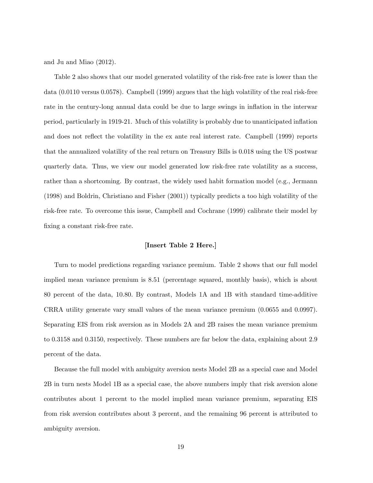and Ju and Miao (2012).

Table 2 also shows that our model generated volatility of the risk-free rate is lower than the data (0:0110 versus 0:0578). Campbell (1999) argues that the high volatility of the real risk-free rate in the century-long annual data could be due to large swings in inflation in the interwar period, particularly in 1919-21. Much of this volatility is probably due to unanticipated ináation and does not reflect the volatility in the ex ante real interest rate. Campbell (1999) reports that the annualized volatility of the real return on Treasury Bills is 0:018 using the US postwar quarterly data. Thus, we view our model generated low risk-free rate volatility as a success, rather than a shortcoming. By contrast, the widely used habit formation model (e.g., Jermann (1998) and Boldrin, Christiano and Fisher (2001)) typically predicts a too high volatility of the risk-free rate. To overcome this issue, Campbell and Cochrane (1999) calibrate their model by fixing a constant risk-free rate.

#### [Insert Table 2 Here.]

Turn to model predictions regarding variance premium. Table 2 shows that our full model implied mean variance premium is 8:51 (percentage squared, monthly basis), which is about 80 percent of the data, 10:80: By contrast, Models 1A and 1B with standard time-additive CRRA utility generate vary small values of the mean variance premium (0:0655 and 0:0997). Separating EIS from risk aversion as in Models 2A and 2B raises the mean variance premium to 0.3158 and 0.3150, respectively. These numbers are far below the data, explaining about 2.9 percent of the data.

Because the full model with ambiguity aversion nests Model 2B as a special case and Model 2B in turn nests Model 1B as a special case, the above numbers imply that risk aversion alone contributes about 1 percent to the model implied mean variance premium, separating EIS from risk aversion contributes about 3 percent, and the remaining 96 percent is attributed to ambiguity aversion.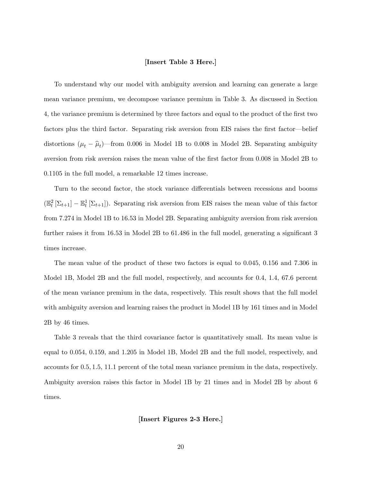#### [Insert Table 3 Here.]

To understand why our model with ambiguity aversion and learning can generate a large mean variance premium, we decompose variance premium in Table 3. As discussed in Section 4, the variance premium is determined by three factors and equal to the product of the first two factors plus the third factor. Separating risk aversion from EIS raises the first factor—belief distortions  $(\mu_t - \hat{\mu}_t)$ —from 0.006 in Model 1B to 0.008 in Model 2B. Separating ambiguity aversion from risk aversion raises the mean value of the first factor from 0.008 in Model 2B to 0:1105 in the full model, a remarkable 12 times increase.

Turn to the second factor, the stock variance differentials between recessions and booms  $(\mathbb{E}_t^2 \left[ \Sigma_{t+1} \right] - \mathbb{E}_t^1 \left[ \Sigma_{t+1} \right])$ . Separating risk aversion from EIS raises the mean value of this factor from 7:274 in Model 1B to 16:53 in Model 2B. Separating ambiguity aversion from risk aversion further raises it from  $16.53$  in Model 2B to  $61.486$  in the full model, generating a significant 3 times increase.

The mean value of the product of these two factors is equal to  $0.045$ ,  $0.156$  and 7.306 in Model 1B, Model 2B and the full model, respectively, and accounts for 0.4, 1.4, 67.6 percent of the mean variance premium in the data, respectively. This result shows that the full model with ambiguity aversion and learning raises the product in Model 1B by 161 times and in Model 2B by 46 times.

Table 3 reveals that the third covariance factor is quantitatively small. Its mean value is equal to 0:054; 0:159; and 1:205 in Model 1B, Model 2B and the full model, respectively, and accounts for 0.5, 1.5, 11.1 percent of the total mean variance premium in the data, respectively. Ambiguity aversion raises this factor in Model 1B by 21 times and in Model 2B by about 6 times.

[Insert Figures 2-3 Here.]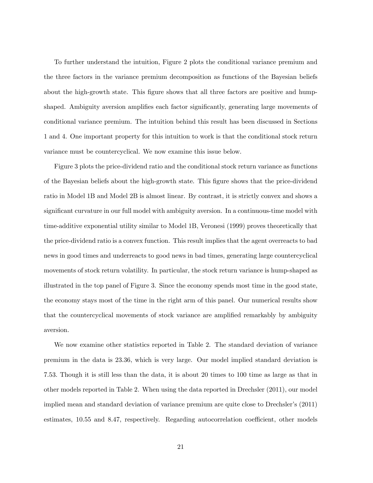To further understand the intuition, Figure 2 plots the conditional variance premium and the three factors in the variance premium decomposition as functions of the Bayesian beliefs about the high-growth state. This figure shows that all three factors are positive and humpshaped. Ambiguity aversion amplifies each factor significantly, generating large movements of conditional variance premium. The intuition behind this result has been discussed in Sections 1 and 4. One important property for this intuition to work is that the conditional stock return variance must be countercyclical. We now examine this issue below.

Figure 3 plots the price-dividend ratio and the conditional stock return variance as functions of the Bayesian beliefs about the high-growth state. This Ögure shows that the price-dividend ratio in Model 1B and Model 2B is almost linear. By contrast, it is strictly convex and shows a significant curvature in our full model with ambiguity aversion. In a continuous-time model with time-additive exponential utility similar to Model 1B, Veronesi (1999) proves theoretically that the price-dividend ratio is a convex function. This result implies that the agent overreacts to bad news in good times and underreacts to good news in bad times, generating large countercyclical movements of stock return volatility. In particular, the stock return variance is hump-shaped as illustrated in the top panel of Figure 3. Since the economy spends most time in the good state, the economy stays most of the time in the right arm of this panel. Our numerical results show that the countercyclical movements of stock variance are amplified remarkably by ambiguity aversion.

We now examine other statistics reported in Table 2. The standard deviation of variance premium in the data is 23:36; which is very large. Our model implied standard deviation is 7:53: Though it is still less than the data, it is about 20 times to 100 time as large as that in other models reported in Table 2. When using the data reported in Drechsler (2011), our model implied mean and standard deviation of variance premium are quite close to Drechsler's (2011) estimates, 10.55 and 8.47, respectively. Regarding autocorrelation coefficient, other models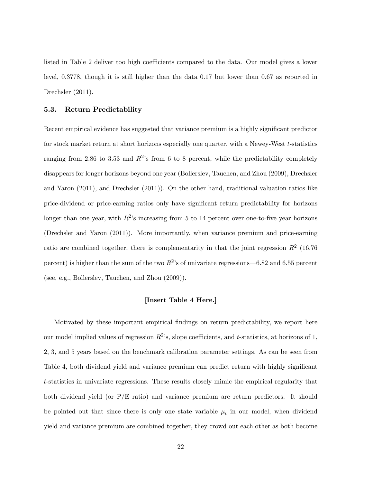listed in Table 2 deliver too high coefficients compared to the data. Our model gives a lower level, 0:3778, though it is still higher than the data 0:17 but lower than 0:67 as reported in Drechsler  $(2011)$ .

#### 5.3. Return Predictability

Recent empirical evidence has suggested that variance premium is a highly significant predictor for stock market return at short horizons especially one quarter, with a Newey-West t-statistics ranging from 2.86 to 3.53 and  $R^2$ 's from 6 to 8 percent, while the predictability completely disappears for longer horizons beyond one year (Bollerslev, Tauchen, and Zhou (2009), Drechsler and Yaron (2011), and Drechsler (2011)). On the other hand, traditional valuation ratios like price-dividend or price-earning ratios only have signiÖcant return predictability for horizons longer than one year, with  $R^2$ 's increasing from 5 to 14 percent over one-to-five year horizons (Drechsler and Yaron (2011)). More importantly, when variance premium and price-earning ratio are combined together, there is complementarity in that the joint regression  $R^2$  (16.76) percent) is higher than the sum of the two  $R^2$ 's of univariate regressions—6.82 and 6.55 percent (see, e.g., Bollerslev, Tauchen, and Zhou (2009)).

#### [Insert Table 4 Here.]

Motivated by these important empirical findings on return predictability, we report here our model implied values of regression  $R^2$ 's, slope coefficients, and t-statistics, at horizons of 1, 2, 3, and 5 years based on the benchmark calibration parameter settings. As can be seen from Table 4, both dividend yield and variance premium can predict return with highly significant t-statistics in univariate regressions. These results closely mimic the empirical regularity that both dividend yield (or P/E ratio) and variance premium are return predictors. It should be pointed out that since there is only one state variable  $\mu_t$  in our model, when dividend yield and variance premium are combined together, they crowd out each other as both become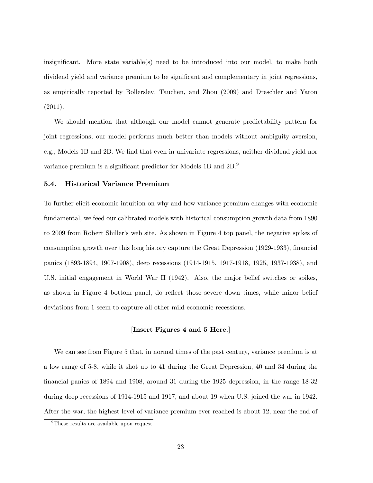insignificant. More state variable(s) need to be introduced into our model, to make both dividend yield and variance premium to be significant and complementary in joint regressions, as empirically reported by Bollerslev, Tauchen, and Zhou (2009) and Dreschler and Yaron  $(2011).$ 

We should mention that although our model cannot generate predictability pattern for joint regressions, our model performs much better than models without ambiguity aversion, e.g., Models 1B and 2B. We find that even in univariate regressions, neither dividend yield nor variance premium is a significant predictor for Models 1B and 2B.<sup>9</sup>

#### 5.4. Historical Variance Premium

To further elicit economic intuition on why and how variance premium changes with economic fundamental, we feed our calibrated models with historical consumption growth data from 1890 to 2009 from Robert Shiller's web site. As shown in Figure 4 top panel, the negative spikes of consumption growth over this long history capture the Great Depression (1929-1933), financial panics (1893-1894, 1907-1908), deep recessions (1914-1915, 1917-1918, 1925, 1937-1938), and U.S. initial engagement in World War II (1942). Also, the major belief switches or spikes, as shown in Figure 4 bottom panel, do reflect those severe down times, while minor belief deviations from 1 seem to capture all other mild economic recessions.

#### [Insert Figures 4 and 5 Here.]

We can see from Figure 5 that, in normal times of the past century, variance premium is at a low range of 5-8, while it shot up to 41 during the Great Depression, 40 and 34 during the Önancial panics of 1894 and 1908, around 31 during the 1925 depression, in the range 18-32 during deep recessions of 1914-1915 and 1917, and about 19 when U.S. joined the war in 1942. After the war, the highest level of variance premium ever reached is about 12, near the end of

<sup>&</sup>lt;sup>9</sup>These results are available upon request.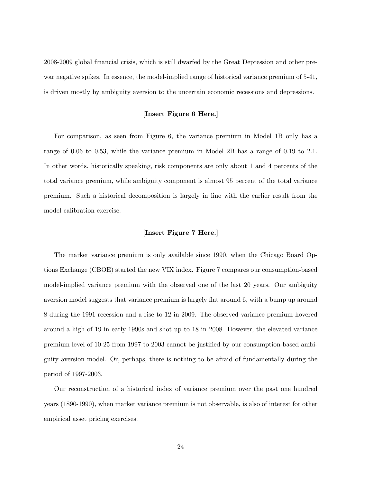2008-2009 global Önancial crisis, which is still dwarfed by the Great Depression and other prewar negative spikes. In essence, the model-implied range of historical variance premium of 5-41, is driven mostly by ambiguity aversion to the uncertain economic recessions and depressions.

#### [Insert Figure 6 Here.]

For comparison, as seen from Figure 6, the variance premium in Model 1B only has a range of 0.06 to 0.53, while the variance premium in Model 2B has a range of 0.19 to 2.1. In other words, historically speaking, risk components are only about 1 and 4 percents of the total variance premium, while ambiguity component is almost 95 percent of the total variance premium. Such a historical decomposition is largely in line with the earlier result from the model calibration exercise.

#### [Insert Figure 7 Here.]

The market variance premium is only available since 1990, when the Chicago Board Options Exchange (CBOE) started the new VIX index. Figure 7 compares our consumption-based model-implied variance premium with the observed one of the last 20 years. Our ambiguity aversion model suggests that variance premium is largely flat around 6, with a bump up around 8 during the 1991 recession and a rise to 12 in 2009. The observed variance premium hovered around a high of 19 in early 1990s and shot up to 18 in 2008. However, the elevated variance premium level of 10-25 from 1997 to 2003 cannot be justified by our consumption-based ambiguity aversion model. Or, perhaps, there is nothing to be afraid of fundamentally during the period of 1997-2003.

Our reconstruction of a historical index of variance premium over the past one hundred years (1890-1990), when market variance premium is not observable, is also of interest for other empirical asset pricing exercises.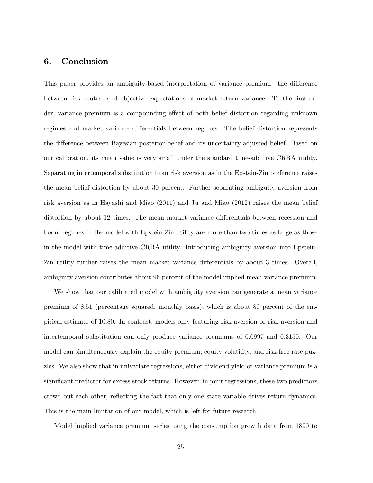### 6. Conclusion

This paper provides an ambiguity-based interpretation of variance premium—the difference between risk-neutral and objective expectations of market return variance. To the first order, variance premium is a compounding effect of both belief distortion regarding unknown regimes and market variance differentials between regimes. The belief distortion represents the difference between Bayesian posterior belief and its uncertainty-adjusted belief. Based on our calibration, its mean value is very small under the standard time-additive CRRA utility. Separating intertemporal substitution from risk aversion as in the Epstein-Zin preference raises the mean belief distortion by about 30 percent. Further separating ambiguity aversion from risk aversion as in Hayashi and Miao (2011) and Ju and Miao (2012) raises the mean belief distortion by about 12 times. The mean market variance differentials between recession and boom regimes in the model with Epstein-Zin utility are more than two times as large as those in the model with time-additive CRRA utility. Introducing ambiguity aversion into Epstein-Zin utility further raises the mean market variance differentials by about 3 times. Overall, ambiguity aversion contributes about 96 percent of the model implied mean variance premium.

We show that our calibrated model with ambiguity aversion can generate a mean variance premium of 8:51 (percentage squared, monthly basis), which is about 80 percent of the empirical estimate of 10:80. In contrast, models only featuring risk aversion or risk aversion and intertemporal substitution can only produce variance premiums of 0:0997 and 0:3150. Our model can simultaneously explain the equity premium, equity volatility, and risk-free rate puzzles. We also show that in univariate regressions, either dividend yield or variance premium is a significant predictor for excess stock returns. However, in joint regressions, these two predictors crowd out each other, reflecting the fact that only one state variable drives return dynamics. This is the main limitation of our model, which is left for future research.

Model implied variance premium series using the consumption growth data from 1890 to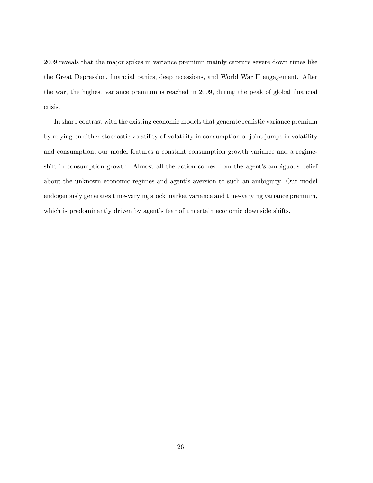2009 reveals that the major spikes in variance premium mainly capture severe down times like the Great Depression, financial panics, deep recessions, and World War II engagement. After the war, the highest variance premium is reached in 2009, during the peak of global financial crisis.

In sharp contrast with the existing economic models that generate realistic variance premium by relying on either stochastic volatility-of-volatility in consumption or joint jumps in volatility and consumption, our model features a constant consumption growth variance and a regimeshift in consumption growth. Almost all the action comes from the agent's ambiguous belief about the unknown economic regimes and agent's aversion to such an ambiguity. Our model endogenously generates time-varying stock market variance and time-varying variance premium, which is predominantly driven by agent's fear of uncertain economic downside shifts.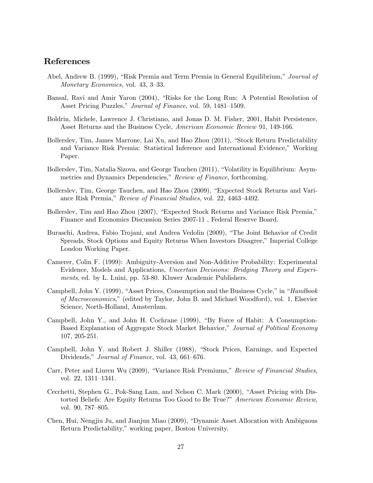# References

- Abel, Andrew B. (1999), "Risk Premia and Term Premia in General Equilibrium," Journal of Monetary Economics, vol.  $43, 3-33$ .
- Bansal, Ravi and Amir Yaron (2004), "Risks for the Long Run: A Potential Resolution of Asset Pricing Puzzles," Journal of Finance, vol. 59, 1481-1509.
- Boldrin, Michele, Lawrence J. Christiano, and Jonas D. M. Fisher, 2001, Habit Persistence, Asset Returns and the Business Cycle, American Economic Review 91, 149-166.
- Bollerslev, Tim, James Marrone, Lai Xu, and Hao Zhou (2011), "Stock Return Predictability and Variance Risk Premia: Statistical Inference and International Evidence," Working Paper.
- Bollerslev, Tim, Natalia Sizova, and George Tauchen (2011), "Volatility in Equilibrium: Asymmetries and Dynamics Dependencies," Review of Finance, forthcoming.
- Bollerslev, Tim, George Tauchen, and Hao Zhou (2009), "Expected Stock Returns and Variance Risk Premia," Review of Financial Studies, vol. 22, 4463-4492.
- Bollerslev, Tim and Hao Zhou (2007), "Expected Stock Returns and Variance Risk Premia," Finance and Economics Discussion Series 2007-11 , Federal Reserve Board.
- Buraschi, Andrea, Fabio Trojani, and Andrea Vedolin (2009), "The Joint Behavior of Credit Spreads, Stock Options and Equity Returns When Investors Disagree," Imperial College London Working Paper.
- Camerer, Colin F. (1999): Ambiguity-Aversion and Non-Additive Probability: Experimental Evidence, Models and Applications, Uncertain Decisions: Bridging Theory and Experiments, ed. by L. Luini, pp. 53-80. Kluwer Academic Publishers.
- Campbell, John Y. (1999), "Asset Prices, Consumption and the Business Cycle," in "Handbook of Macroeconomics,î(edited by Taylor, John B. and Michael Woodford), vol. 1, Elsevier Science, North-Holland, Amsterdam.
- Campbell, John Y., and John H. Cochrane  $(1999)$ , "By Force of Habit: A Consumption-Based Explanation of Aggregate Stock Market Behavior," Journal of Political Economy 107, 205-251.
- Campbell, John Y. and Robert J. Shiller (1988), "Stock Prices, Earnings, and Expected Dividends," Journal of Finance, vol. 43, 661–676.
- Carr, Peter and Liuren Wu (2009), "Variance Risk Premiums," Review of Financial Studies, vol. 22,  $1311-1341$ .
- Cecchetti, Stephen G., Pok-Sang Lam, and Nelson C. Mark (2000), "Asset Pricing with Distorted Beliefs: Are Equity Returns Too Good to Be True?" American Economic Review, vol. 90, 787–805.
- Chen, Hui, Nengjiu Ju, and Jianjun Miao (2009), "Dynamic Asset Allocation with Ambiguous Return Predictability," working paper, Boston University.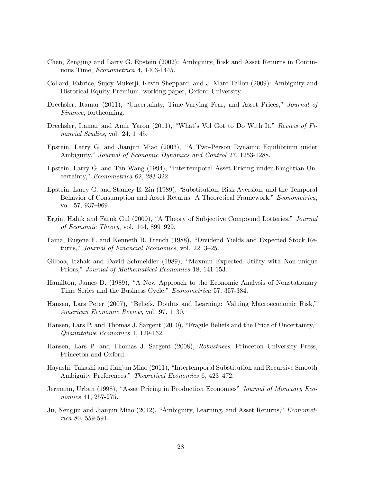- Chen, Zengjing and Larry G. Epstein (2002): Ambiguity, Risk and Asset Returns in Continuous Time, Econometrica 4, 1403-1445.
- Collard, Fabrice, Sujoy Mukerji, Kevin Sheppard, and J.-Marc Tallon (2009): Ambiguity and Historical Equity Premium, working paper, Oxford University.
- Drechsler, Itamar (2011), "Uncertainty, Time-Varying Fear, and Asset Prices," Journal of Finance, forthcoming.
- Drechsler, Itamar and Amir Yaron (2011), "What's Vol Got to Do With It," Review of Financial Studies, vol. 24,  $1-45$ .
- Epstein, Larry G. and Jianjun Miao (2003), "A Two-Person Dynamic Equilibrium under Ambiguity," Journal of Economic Dynamics and Control 27, 1253-1288.
- Epstein, Larry G. and Tan Wang (1994), "Intertemporal Asset Pricing under Knightian Uncertainty," Econometrica 62, 283-322.
- Epstein, Larry G. and Stanley E. Zin (1989), "Substitution, Risk Aversion, and the Temporal Behavior of Consumption and Asset Returns: A Theoretical Framework," Econometrica, vol. 57, 937–969.
- Ergin, Haluk and Faruk Gul (2009), "A Theory of Subjective Compound Lotteries," Journal of Economic Theory, vol.  $144, 899-929$ .
- Fama, Eugene F. and Kenneth R. French (1988), "Dividend Yields and Expected Stock Returns," Journal of Financial Economics, vol. 22, 3-25.
- Gilboa, Itzhak and David Schmeidler (1989), "Maxmin Expected Utility with Non-unique Priors," Journal of Mathematical Economics 18, 141-153.
- Hamilton, James D. (1989), "A New Approach to the Economic Analysis of Nonstationary Time Series and the Business Cycle," *Econometrica* 57, 357-384.
- Hansen, Lars Peter (2007), "Beliefs, Doubts and Learning: Valuing Macroeconomic Risk," American Economic Review, vol. 97, 1-30.
- Hansen, Lars P. and Thomas J. Sargent (2010), "Fragile Beliefs and the Price of Uncertainty," Quantitative Economics 1, 129-162.
- Hansen, Lars P. and Thomas J. Sargent (2008), Robustness, Princeton University Press, Princeton and Oxford.
- Hayashi, Takashi and Jianjun Miao (2011), "Intertemporal Substitution and Recursive Smooth Ambiguity Preferences," Theoretical Economics 6, 423-472.
- Jermann, Urban (1998), "Asset Pricing in Production Economies" Journal of Monetary Economics 41, 257-275.
- Ju, Nengjiu and Jianjun Miao (2012), "Ambiguity, Learning, and Asset Returns," *Economet*rica 80, 559-591.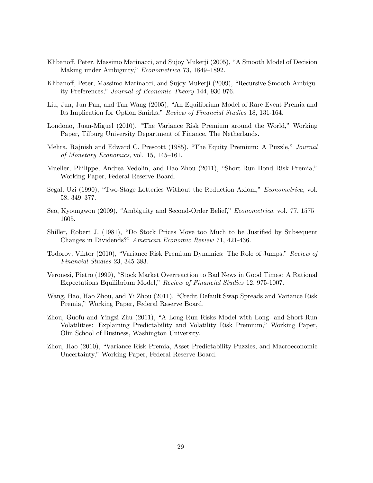- Klibanoff, Peter, Massimo Marinacci, and Sujoy Mukerji (2005), "A Smooth Model of Decision Making under Ambiguity," Econometrica 73, 1849-1892.
- Klibanoff, Peter, Massimo Marinacci, and Sujoy Mukerji (2009), "Recursive Smooth Ambiguity Preferences," Journal of Economic Theory 144, 930-976.
- Liu, Jun, Jun Pan, and Tan Wang (2005), "An Equilibrium Model of Rare Event Premia and Its Implication for Option Smirks," Review of Financial Studies 18, 131-164.
- Londono, Juan-Miguel (2010), "The Variance Risk Premium around the World," Working Paper, Tilburg University Department of Finance, The Netherlands.
- Mehra, Rajnish and Edward C. Prescott (1985), "The Equity Premium: A Puzzle," Journal of Monetary Economics, vol. 15,  $145-161$ .
- Mueller, Philippe, Andrea Vedolin, and Hao Zhou (2011), "Short-Run Bond Risk Premia," Working Paper, Federal Reserve Board.
- Segal, Uzi (1990), "Two-Stage Lotteries Without the Reduction Axiom," Econometrica, vol. 58, 349–377.
- Seo, Kyoungwon (2009), "Ambiguity and Second-Order Belief," *Econometrica*, vol. 77, 1575– 1605.
- Shiller, Robert J. (1981), "Do Stock Prices Move too Much to be Justified by Subsequent Changes in Dividends?" American Economic Review 71, 421-436.
- Todorov, Viktor (2010), "Variance Risk Premium Dynamics: The Role of Jumps," Review of Financial Studies 23, 345-383.
- Veronesi, Pietro (1999), "Stock Market Overreaction to Bad News in Good Times: A Rational Expectations Equilibrium Model," Review of Financial Studies 12, 975-1007.
- Wang, Hao, Hao Zhou, and Yi Zhou (2011), "Credit Default Swap Spreads and Variance Risk Premia," Working Paper, Federal Reserve Board.
- Zhou, Guofu and Yingzi Zhu (2011), "A Long-Run Risks Model with Long- and Short-Run Volatilities: Explaining Predictability and Volatility Risk Premium," Working Paper, Olin School of Business, Washington University.
- Zhou, Hao (2010), "Variance Risk Premia, Asset Predictability Puzzles, and Macroeconomic Uncertainty," Working Paper, Federal Reserve Board.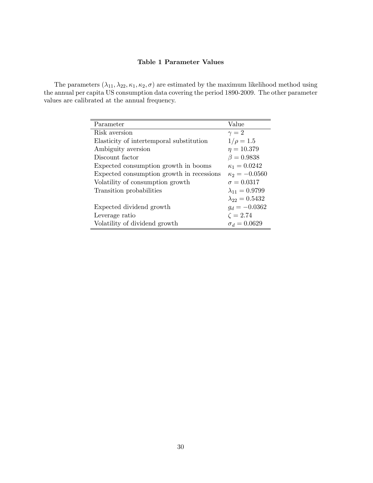### Table 1 Parameter Values

The parameters  $(\lambda_{11}, \lambda_{22}, \kappa_1, \kappa_2, \sigma)$  are estimated by the maximum likelihood method using the annual per capita US consumption data covering the period 1890-2009. The other parameter values are calibrated at the annual frequency.

| Parameter                                 | Value                   |
|-------------------------------------------|-------------------------|
| Risk aversion                             | $\gamma=2$              |
| Elasticity of intertemporal substitution  | $1/\rho = 1.5$          |
| Ambiguity aversion                        | $\eta = 10.379$         |
| Discount factor                           | $\beta = 0.9838$        |
| Expected consumption growth in booms      | $\kappa_1 = 0.0242$     |
| Expected consumption growth in recessions | $\kappa_2 = -0.0560$    |
| Volatility of consumption growth          | $\sigma = 0.0317$       |
| Transition probabilities                  | $\lambda_{11} = 0.9799$ |
|                                           | $\lambda_{22} = 0.5432$ |
| Expected dividend growth                  | $g_d = -0.0362$         |
| Leverage ratio                            | $\zeta = 2.74$          |
| Volatility of dividend growth             | $\sigma_d = 0.0629$     |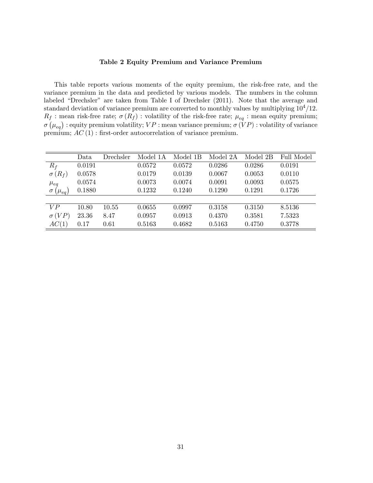#### Table 2 Equity Premium and Variance Premium

This table reports various moments of the equity premium, the risk-free rate, and the variance premium in the data and predicted by various models. The numbers in the column labeled "Drechsler" are taken from Table I of Drechsler (2011). Note that the average and standard deviation of variance premium are converted to monthly values by multiplying  $10<sup>4</sup>/12$ .  $R_f$ : mean risk-free rate;  $\sigma(R_f)$ : volatility of the risk-free rate;  $\mu_{eq}$ : mean equity premium;  $\sigma\left(\mu_{eq}\right)$  : equity premium volatility;  $VP$  : mean variance premium;  $\sigma\left(\overline{V}P\right)$  : volatility of variance premium;  $AC(1)$ : first-order autocorrelation of variance premium.

|                         | Data   | Drechsler | Model 1A | Model 1B | Model 2A | Model 2B | Full Model |
|-------------------------|--------|-----------|----------|----------|----------|----------|------------|
| $R_f$                   | 0.0191 |           | 0.0572   | 0.0572   | 0.0286   | 0.0286   | 0.0191     |
| $\sigma(R_f)$           | 0.0578 |           | 0.0179   | 0.0139   | 0.0067   | 0.0053   | 0.0110     |
| $\mu_{eq}$              | 0.0574 |           | 0.0073   | 0.0074   | 0.0091   | 0.0093   | 0.0575     |
| $\sigma$ ( $\mu_{eq}$ ) | 0.1880 |           | 0.1232   | 0.1240   | 0.1290   | 0.1291   | 0.1726     |
|                         |        |           |          |          |          |          |            |
| VP                      | 10.80  | 10.55     | 0.0655   | 0.0997   | 0.3158   | 0.3150   | 8.5136     |
| $\sigma(VP)$            | 23.36  | 8.47      | 0.0957   | 0.0913   | 0.4370   | 0.3581   | 7.5323     |
| AC(1)                   | 0.17   | 0.61      | 0.5163   | 0.4682   | 0.5163   | 0.4750   | 0.3778     |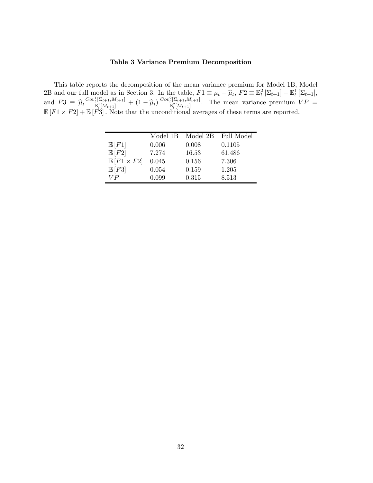#### Table 3 Variance Premium Decomposition

This table reports the decomposition of the mean variance premium for Model 1B, Model 2B and our full model as in Section 3. In the table,  $F1 \equiv \mu_t - \hat{\mu}_t$ ,  $F2 \equiv \mathbb{E}_t^2 [\Sigma_{t+1}] - \mathbb{E}_t^1 [\Sigma_{t+1}]$ , and  $F3 \equiv \hat{\mu}_t \frac{Cov_t^1[\Sigma_{t+1}, M_{t+1}]}{\mathbb{E}_t^1[M_{t+1}]}$  $\frac{\mathbb{E}[ \Sigma_{t+1}, M_{t+1}]}{\mathbb{E}[ [M_{t+1}]} + (1 - \widehat{\mu}_t) \frac{Cov_t^2[\Sigma_{t+1}, M_{t+1}]}{\mathbb{E}[ [M_{t+1}]}$  $\frac{t^{[2t+1,Mt+1]}}{E_t^{2}[M_{t+1}]}$ . The mean variance premium  $VP =$  $\mathbb{E}[F1 \times F2] + \mathbb{E}[F3]$ . Note that the unconditional averages of these terms are reported.

|                            | Model 1B | Model 2B | Full Model |
|----------------------------|----------|----------|------------|
| $\mathbb{E}[F1]$           | 0.006    | 0.008    | 0.1105     |
| E[F2]                      | 7.274    | 16.53    | 61.486     |
| $\mathbb{E}[F1 \times F2]$ | 0.045    | 0.156    | 7.306      |
| $\mathbb{E}[F3]$           | 0.054    | 0.159    | 1.205      |
| V P                        | 0.099    | 0.315    | 8.513      |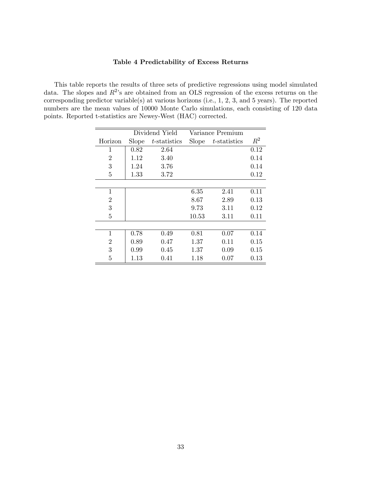#### Table 4 Predictability of Excess Returns

This table reports the results of three sets of predictive regressions using model simulated data. The slopes and  $R^2$ 's are obtained from an OLS regression of the excess returns on the corresponding predictor variable(s) at various horizons (i.e., 1, 2, 3, and 5 years). The reported numbers are the mean values of 10000 Monte Carlo simulations, each consisting of 120 data points. Reported t-statistics are Newey-West (HAC) corrected.

|                | Dividend Yield |              |              | Variance Premium |       |
|----------------|----------------|--------------|--------------|------------------|-------|
| Horizon        | <b>Slope</b>   | t-statistics | <b>Slope</b> | t-statistics     | $R^2$ |
| 1              | 0.82           | 2.64         |              |                  | 0.12  |
| $\overline{2}$ | 1.12           | 3.40         |              |                  | 0.14  |
| 3              | 1.24           | 3.76         |              |                  | 0.14  |
| 5              | 1.33           | 3.72         |              |                  | 0.12  |
|                |                |              |              |                  |       |
| 1              |                |              | 6.35         | 2.41             | 0.11  |
| $\overline{2}$ |                |              | 8.67         | 2.89             | 0.13  |
| 3              |                |              | 9.73         | 3.11             | 0.12  |
| 5              |                |              | 10.53        | 3.11             | 0.11  |
|                |                |              |              |                  |       |
| 1              | 0.78           | 0.49         | 0.81         | 0.07             | 0.14  |
| $\overline{2}$ | 0.89           | 0.47         | 1.37         | 0.11             | 0.15  |
| 3              | 0.99           | 0.45         | 1.37         | 0.09             | 0.15  |
| 5              | 1.13           | 0.41         | 1.18         | 0.07             | 0.13  |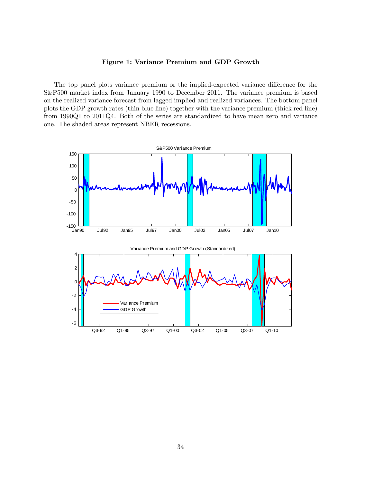#### Figure 1: Variance Premium and GDP Growth

The top panel plots variance premium or the implied-expected variance difference for the S&P500 market index from January 1990 to December 2011. The variance premium is based on the realized variance forecast from lagged implied and realized variances. The bottom panel plots the GDP growth rates (thin blue line) together with the variance premium (thick red line) from 1990Q1 to 2011Q4. Both of the series are standardized to have mean zero and variance one. The shaded areas represent NBER recessions.

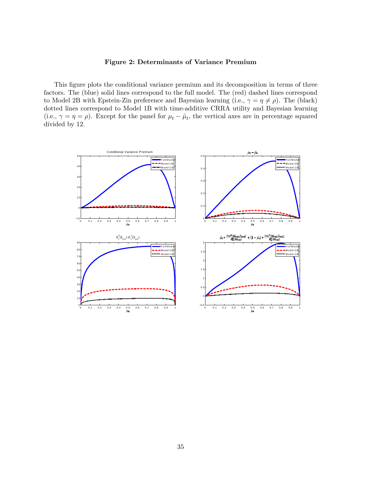#### Figure 2: Determinants of Variance Premium

This figure plots the conditional variance premium and its decomposition in terms of three factors. The (blue) solid lines correspond to the full model. The (red) dashed lines correspond to Model 2B with Epstein-Zin preference and Bayesian learning (i.e.,  $\gamma = \eta \neq \rho$ ). The (black) dotted lines correspond to Model 1B with time-additive CRRA utility and Bayesian learning (i.e.,  $\gamma = \eta = \rho$ ). Except for the panel for  $\mu_t - \hat{\mu}_t$ , the vertical axes are in percentage squared divided by 12.

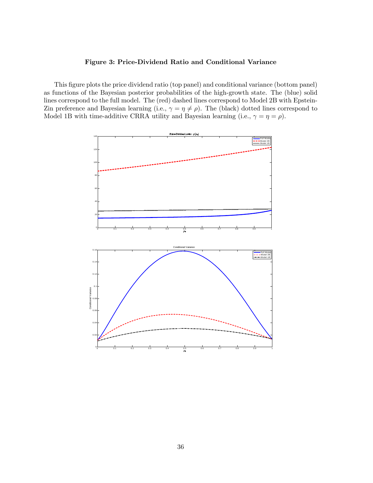#### Figure 3: Price-Dividend Ratio and Conditional Variance

This figure plots the price dividend ratio (top panel) and conditional variance (bottom panel) as functions of the Bayesian posterior probabilities of the high-growth state. The (blue) solid lines correspond to the full model. The (red) dashed lines correspond to Model 2B with Epstein-Zin preference and Bayesian learning (i.e.,  $\gamma = \eta \neq \rho$ ). The (black) dotted lines correspond to Model 1B with time-additive CRRA utility and Bayesian learning (i.e.,  $\gamma = \eta = \rho$ ).

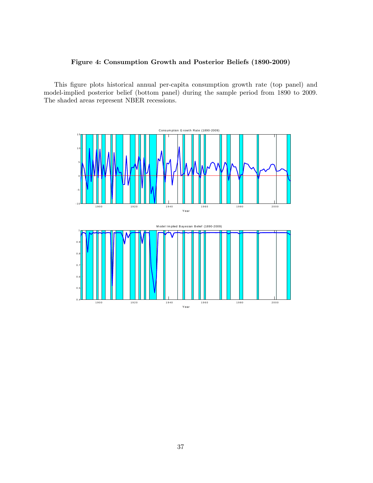### Figure 4: Consumption Growth and Posterior Beliefs (1890-2009)

This figure plots historical annual per-capita consumption growth rate (top panel) and model-implied posterior belief (bottom panel) during the sample period from 1890 to 2009. The shaded areas represent NBER recessions.

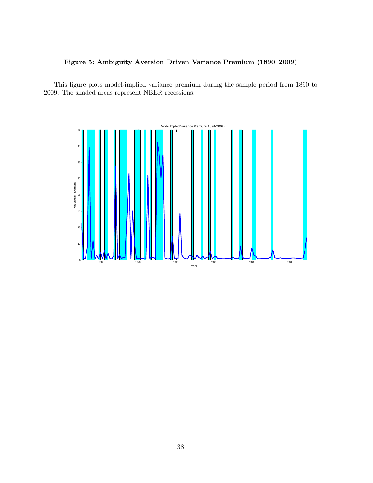# Figure 5: Ambiguity Aversion Driven Variance Premium (1890-2009)

This figure plots model-implied variance premium during the sample period from 1890 to 2009. The shaded areas represent NBER recessions.

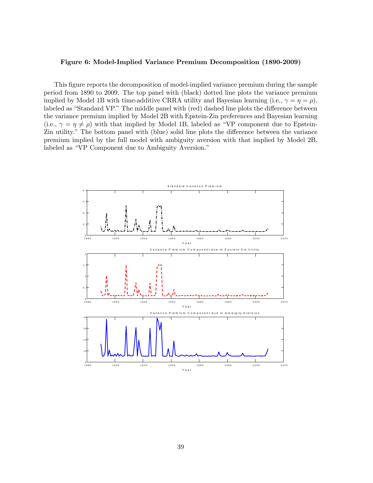#### Figure 6: Model-Implied Variance Premium Decomposition (1890-2009)

This figure reports the decomposition of model-implied variance premium during the sample period from 1890 to 2009. The top panel with (black) dotted line plots the variance premium implied by Model 1B with time-additive CRRA utility and Bayesian learning (i.e.,  $\gamma = \eta = \rho$ ), labeled as "Standard VP." The middle panel with (red) dashed line plots the difference between the variance premium implied by Model 2B with Epstein-Zin preferences and Bayesian learning  $(i.e., \gamma = \eta \neq \rho)$  with that implied by Model 1B, labeled as "VP component due to Epstein-Zin utility." The bottom panel with (blue) solid line plots the difference between the variance premium implied by the full model with ambiguity aversion with that implied by Model 2B, labeled as "VP Component due to Ambiguity Aversion."